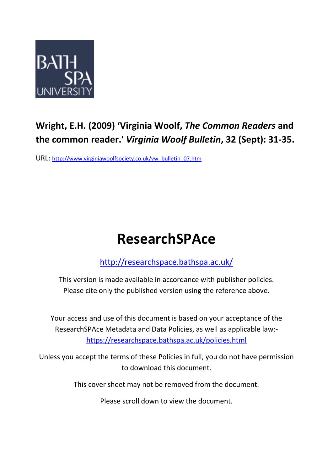

## **Wright, E.H. (2009) 'Virginia Woolf,** *The Common Readers* **and the common reader.'** *Virginia Woolf Bulletin***, 32 (Sept): 31-35.**

URL: [http://www.virginiawoolfsociety.co.uk/vw\\_bulletin\\_07.htm](http://www.virginiawoolfsociety.co.uk/vw_bulletin_07.htm)

## **ResearchSPAce**

<http://researchspace.bathspa.ac.uk/>

This version is made available in accordance with publisher policies. Please cite only the published version using the reference above.

Your access and use of this document is based on your acceptance of the ResearchSPAce Metadata and Data Policies, as well as applicable law: https://researchspace.bathspa.ac.uk/policies.html

Unless you accept the terms of these Policies in full, you do not have permission to download this document.

This cover sheet may not be removed from the document.

Please scroll down to view the document.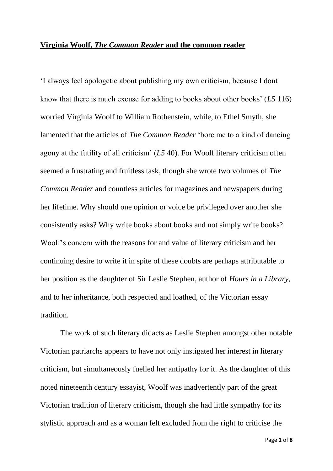## **Virginia Woolf,** *The Common Reader* **and the common reader**

'I always feel apologetic about publishing my own criticism, because I dont know that there is much excuse for adding to books about other books' (*L5* 116) worried Virginia Woolf to William Rothenstein, while, to Ethel Smyth, she lamented that the articles of *The Common Reader* 'bore me to a kind of dancing agony at the futility of all criticism' (*L5* 40). For Woolf literary criticism often seemed a frustrating and fruitless task, though she wrote two volumes of *The Common Reader* and countless articles for magazines and newspapers during her lifetime. Why should one opinion or voice be privileged over another she consistently asks? Why write books about books and not simply write books? Woolf's concern with the reasons for and value of literary criticism and her continuing desire to write it in spite of these doubts are perhaps attributable to her position as the daughter of Sir Leslie Stephen, author of *Hours in a Library,* and to her inheritance, both respected and loathed, of the Victorian essay tradition.

The work of such literary didacts as Leslie Stephen amongst other notable Victorian patriarchs appears to have not only instigated her interest in literary criticism, but simultaneously fuelled her antipathy for it. As the daughter of this noted nineteenth century essayist, Woolf was inadvertently part of the great Victorian tradition of literary criticism, though she had little sympathy for its stylistic approach and as a woman felt excluded from the right to criticise the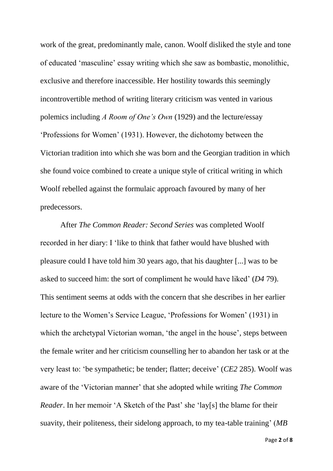work of the great, predominantly male, canon. Woolf disliked the style and tone of educated 'masculine' essay writing which she saw as bombastic, monolithic, exclusive and therefore inaccessible. Her hostility towards this seemingly incontrovertible method of writing literary criticism was vented in various polemics including *A Room of One's Own* (1929) and the lecture/essay 'Professions for Women' (1931). However, the dichotomy between the Victorian tradition into which she was born and the Georgian tradition in which she found voice combined to create a unique style of critical writing in which Woolf rebelled against the formulaic approach favoured by many of her predecessors.

After *The Common Reader: Second Series* was completed Woolf recorded in her diary: I 'like to think that father would have blushed with pleasure could I have told him 30 years ago, that his daughter [...] was to be asked to succeed him: the sort of compliment he would have liked' (*D4* 79). This sentiment seems at odds with the concern that she describes in her earlier lecture to the Women's Service League, 'Professions for Women' (1931) in which the archetypal Victorian woman, 'the angel in the house', steps between the female writer and her criticism counselling her to abandon her task or at the very least to: 'be sympathetic; be tender; flatter; deceive' (*CE2* 285). Woolf was aware of the 'Victorian manner' that she adopted while writing *The Common Reader*. In her memoir 'A Sketch of the Past' she 'lay[s] the blame for their suavity, their politeness, their sidelong approach, to my tea-table training' (*MB*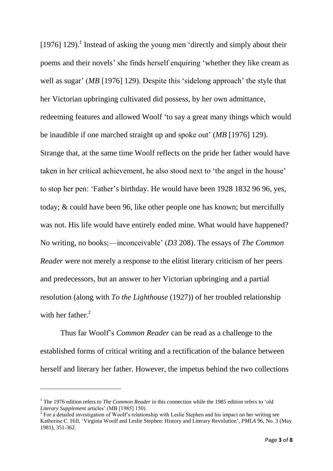[1976] 129).<sup>1</sup> Instead of asking the young men 'directly and simply about their poems and their novels' she finds herself enquiring 'whether they like cream as well as sugar' (*MB* [1976] 129). Despite this 'sidelong approach' the style that her Victorian upbringing cultivated did possess, by her own admittance, redeeming features and allowed Woolf 'to say a great many things which would be inaudible if one marched straight up and spoke out' (*MB* [1976] 129). Strange that, at the same time Woolf reflects on the pride her father would have taken in her critical achievement, he also stood next to 'the angel in the house' to stop her pen: 'Father's birthday. He would have been 1928 1832 96 96, yes, today; & could have been 96, like other people one has known; but mercifully was not. His life would have entirely ended mine. What would have happened? No writing, no books;—inconceivable' (*D3* 208). The essays of *The Common Reader* were not merely a response to the elitist literary criticism of her peers and predecessors, but an answer to her Victorian upbringing and a partial resolution (along with *To the Lighthouse* (1927)) of her troubled relationship with her father. $2$ 

Thus far Woolf's *Common Reader* can be read as a challenge to the established forms of critical writing and a rectification of the balance between herself and literary her father. However, the impetus behind the two collections

1

<sup>1</sup> The 1976 edition refers to *The Common Reader* in this connection while the 1985 edition refers to 'old *Literary Supplement* articles' (MB [1985] 150).

 $2^2$  For a detailed investigation of Woolf's relationship with Leslie Stephen and his impact on her writing see Katherine C. Hill, 'Virginia Woolf and Leslie Stephen: History and Literary Revolution', *[PMLA](http://www.jstor.org/action/showPublication?journalCode=pmla)* 96, No. 3 (May 1981), 351-362.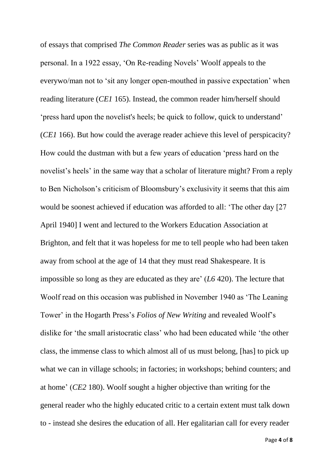of essays that comprised *The Common Reader* series was as public as it was personal. In a 1922 essay, 'On Re-reading Novels' Woolf appeals to the everywo/man not to 'sit any longer open-mouthed in passive expectation' when reading literature (*CE1* 165). Instead, the common reader him/herself should 'press hard upon the novelist's heels; be quick to follow, quick to understand' (*CE1* 166). But how could the average reader achieve this level of perspicacity? How could the dustman with but a few years of education 'press hard on the novelist's heels' in the same way that a scholar of literature might? From a reply to Ben Nicholson's criticism of Bloomsbury's exclusivity it seems that this aim would be soonest achieved if education was afforded to all: 'The other day [27 April 1940] I went and lectured to the Workers Education Association at Brighton, and felt that it was hopeless for me to tell people who had been taken away from school at the age of 14 that they must read Shakespeare. It is impossible so long as they are educated as they are' (*L6* 420). The lecture that Woolf read on this occasion was published in November 1940 as 'The Leaning Tower' in the Hogarth Press's *Folios of New Writing* and revealed Woolf's dislike for 'the small aristocratic class' who had been educated while 'the other class, the immense class to which almost all of us must belong, [has] to pick up what we can in village schools; in factories; in workshops; behind counters; and at home' (*CE2* 180). Woolf sought a higher objective than writing for the general reader who the highly educated critic to a certain extent must talk down to - instead she desires the education of all. Her egalitarian call for every reader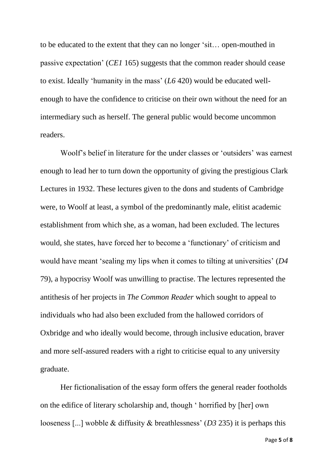to be educated to the extent that they can no longer 'sit… open-mouthed in passive expectation' (*CE1* 165) suggests that the common reader should cease to exist. Ideally 'humanity in the mass' (*L6* 420) would be educated wellenough to have the confidence to criticise on their own without the need for an intermediary such as herself. The general public would become uncommon readers.

Woolf's belief in literature for the under classes or 'outsiders' was earnest enough to lead her to turn down the opportunity of giving the prestigious Clark Lectures in 1932. These lectures given to the dons and students of Cambridge were, to Woolf at least, a symbol of the predominantly male, elitist academic establishment from which she, as a woman, had been excluded. The lectures would, she states, have forced her to become a 'functionary' of criticism and would have meant 'sealing my lips when it comes to tilting at universities' (*D4* 79), a hypocrisy Woolf was unwilling to practise. The lectures represented the antithesis of her projects in *The Common Reader* which sought to appeal to individuals who had also been excluded from the hallowed corridors of Oxbridge and who ideally would become, through inclusive education, braver and more self-assured readers with a right to criticise equal to any university graduate.

Her fictionalisation of the essay form offers the general reader footholds on the edifice of literary scholarship and, though ' horrified by [her] own looseness [...] wobble & diffusity & breathlessness' (*D3* 235) it is perhaps this

Page **5** of **8**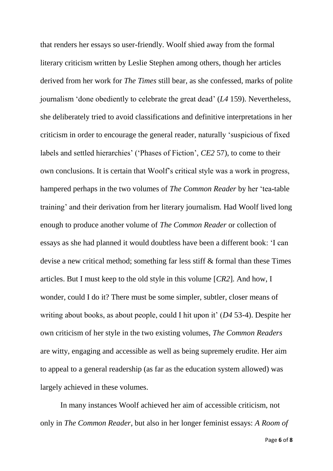that renders her essays so user-friendly. Woolf shied away from the formal literary criticism written by Leslie Stephen among others, though her articles derived from her work for *The Times* still bear, as she confessed, marks of polite journalism 'done obediently to celebrate the great dead' (*L4* 159). Nevertheless, she deliberately tried to avoid classifications and definitive interpretations in her criticism in order to encourage the general reader, naturally 'suspicious of fixed labels and settled hierarchies' ('Phases of Fiction', *CE2* 57), to come to their own conclusions. It is certain that Woolf's critical style was a work in progress, hampered perhaps in the two volumes of *The Common Reader* by her 'tea-table training' and their derivation from her literary journalism. Had Woolf lived long enough to produce another volume of *The Common Reader* or collection of essays as she had planned it would doubtless have been a different book: 'I can devise a new critical method; something far less stiff & formal than these Times articles. But I must keep to the old style in this volume [*CR2*]. And how, I wonder, could I do it? There must be some simpler, subtler, closer means of writing about books, as about people, could I hit upon it' (*D4* 53-4). Despite her own criticism of her style in the two existing volumes, *The Common Readers*  are witty, engaging and accessible as well as being supremely erudite. Her aim to appeal to a general readership (as far as the education system allowed) was largely achieved in these volumes.

In many instances Woolf achieved her aim of accessible criticism, not only in *The Common Reader*, but also in her longer feminist essays: *A Room of*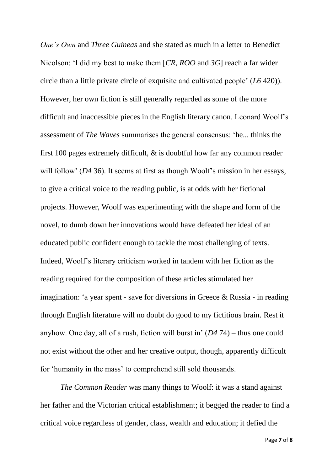*One's Own* and *Three Guineas* and she stated as much in a letter to Benedict Nicolson: 'I did my best to make them [*CR*, *ROO* and *3G*] reach a far wider circle than a little private circle of exquisite and cultivated people' (*L6* 420)). However, her own fiction is still generally regarded as some of the more difficult and inaccessible pieces in the English literary canon. Leonard Woolf's assessment of *The Waves* summarises the general consensus: 'he... thinks the first 100 pages extremely difficult, & is doubtful how far any common reader will follow' (*D4* 36). It seems at first as though Woolf's mission in her essays, to give a critical voice to the reading public, is at odds with her fictional projects. However, Woolf was experimenting with the shape and form of the novel, to dumb down her innovations would have defeated her ideal of an educated public confident enough to tackle the most challenging of texts. Indeed, Woolf's literary criticism worked in tandem with her fiction as the reading required for the composition of these articles stimulated her imagination: 'a year spent - save for diversions in Greece & Russia - in reading through English literature will no doubt do good to my fictitious brain. Rest it anyhow. One day, all of a rush, fiction will burst in' (*D4* 74) – thus one could not exist without the other and her creative output, though, apparently difficult for 'humanity in the mass' to comprehend still sold thousands.

*The Common Reader* was many things to Woolf: it was a stand against her father and the Victorian critical establishment; it begged the reader to find a critical voice regardless of gender, class, wealth and education; it defied the